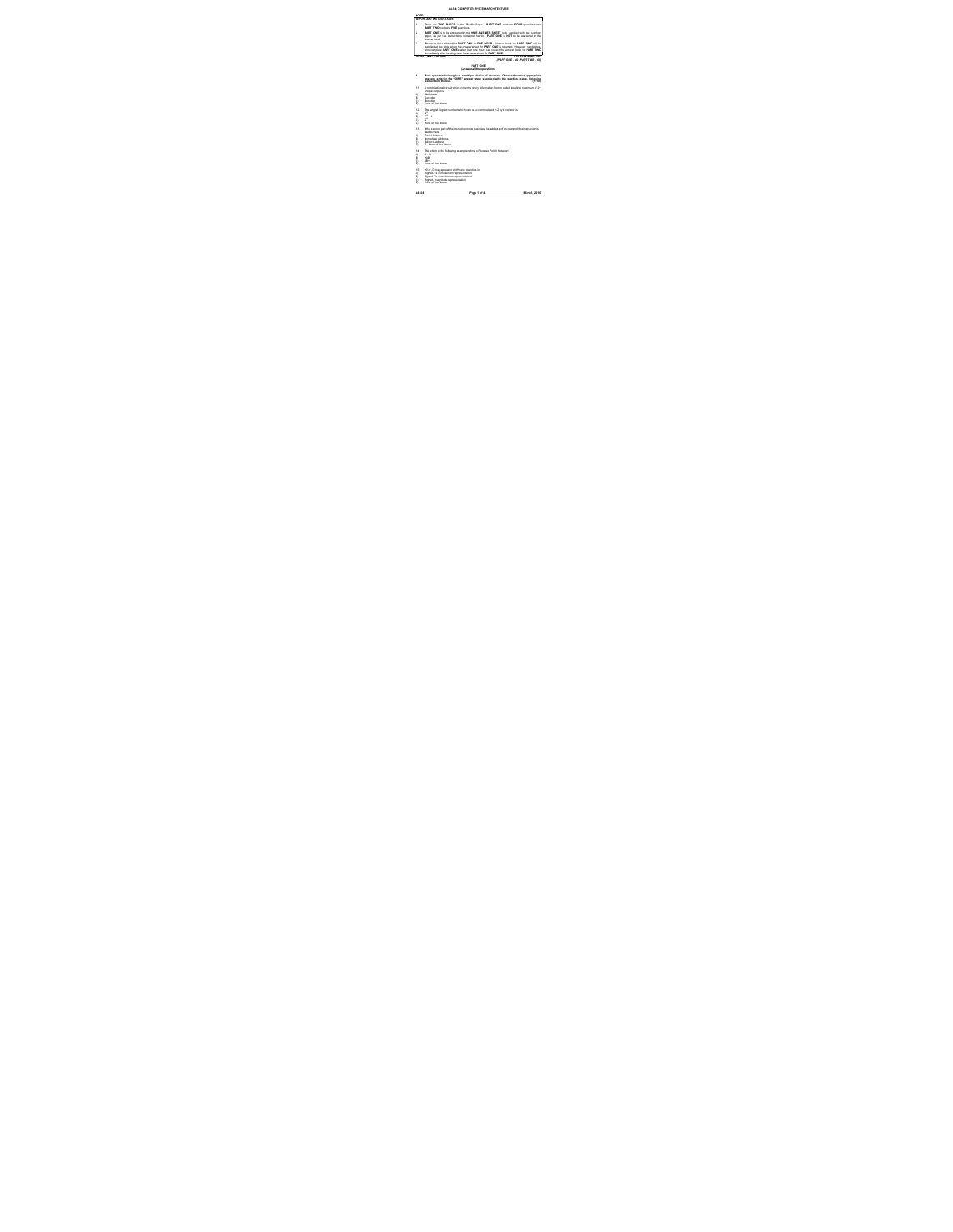|                | AA BA-FOMBITED SYSTEM ABOUTECTURE                                                                                                                                                                                                                                                                                                        |
|----------------|------------------------------------------------------------------------------------------------------------------------------------------------------------------------------------------------------------------------------------------------------------------------------------------------------------------------------------------|
| NOTE-          |                                                                                                                                                                                                                                                                                                                                          |
|                | <b>MPORTANT INSTRUCTIONS:</b>                                                                                                                                                                                                                                                                                                            |
| ٠.             | There are TWO PARTS in this McGulePaper. PART ONE contains FOUR questions and<br><b>PART TWO contains FME questions.</b>                                                                                                                                                                                                                 |
| 2              | PART ONE is to be answered in the CRER ANSWER SHEET only, supplied with the question<br>caper, as per the instructions contained therein. PART ONE is NOT to be answered in the<br><b>Manuel North</b>                                                                                                                                   |
| ٠              | Maximum time allotted for PART ONE is ONE HOUR. Answer book for PART TWO will be<br>supplied at the table when the answer sheet for PART ONE is neturned. However, candidates,<br>who complete PART CNE earlier than one hour, can collect the answer book for PART TWO<br>immediately after handing over the answer sheet for PART ONE. |
|                | TOTAL TIME-SHOUSE<br>TITIE AL 34 HOW'S - STAT                                                                                                                                                                                                                                                                                            |
|                | (PARTONE - 40: PART TWO - 60)                                                                                                                                                                                                                                                                                                            |
|                | <b><i>DADT ONE</i></b>                                                                                                                                                                                                                                                                                                                   |
|                | (Answer all the questions)                                                                                                                                                                                                                                                                                                               |
| ٠.             | Each question below gives a multiple choice of answers. Choose the most appropriate<br>one and enter in the "OMR" answer sheet supplied with the question paper, following<br><b>Instrumento Baralo</b><br>(1x10)                                                                                                                        |
| 11             | A combinational circuit which converts binary information from n coded inputs to maximum of 2"                                                                                                                                                                                                                                           |
| A)             | unique output is.<br><b>Multiplease</b>                                                                                                                                                                                                                                                                                                  |
| $Q_{11}$<br>ci | Decoder<br>Ennoter                                                                                                                                                                                                                                                                                                                       |
| Di.            | None of the shows                                                                                                                                                                                                                                                                                                                        |
| 4.9<br>A)      | The largest Signed number which can be accommodated in 2 byte register is<br>go.                                                                                                                                                                                                                                                         |
| O's            | $2^{n} - 1$                                                                                                                                                                                                                                                                                                                              |
| ci<br>D1       | ÷.<br>None of the shows                                                                                                                                                                                                                                                                                                                  |
|                |                                                                                                                                                                                                                                                                                                                                          |
| 4.5            | If the second part of the instruction code specifies the address of an operand, the instruction is<br>and to have                                                                                                                                                                                                                        |
| A)<br>O's      | Direct Address<br><b>Increased and Advisors</b>                                                                                                                                                                                                                                                                                          |
| ci             | <b>Inclined Address</b>                                                                                                                                                                                                                                                                                                                  |
| D1             | D. None of the above                                                                                                                                                                                                                                                                                                                     |
| 14             | The which of the following example refers to Reverse Polish Notation?                                                                                                                                                                                                                                                                    |
| A)<br>o.       | 4.49<br>$-10$                                                                                                                                                                                                                                                                                                                            |
| ci             | $40 -$                                                                                                                                                                                                                                                                                                                                   |
| Db <sup></sup> | None of the shows                                                                                                                                                                                                                                                                                                                        |
| 4.6            | <0 or <0 may appear in arithmetic operation in                                                                                                                                                                                                                                                                                           |
| A)             | Signed-1's complement regresentation                                                                                                                                                                                                                                                                                                     |
| äì.<br>ci      | Signed-Z's complement regresentation<br>Signed-magnitude representation                                                                                                                                                                                                                                                                  |
| ni.            | None of the shows                                                                                                                                                                                                                                                                                                                        |

A4-R4 Page 1 of 4 March, 2016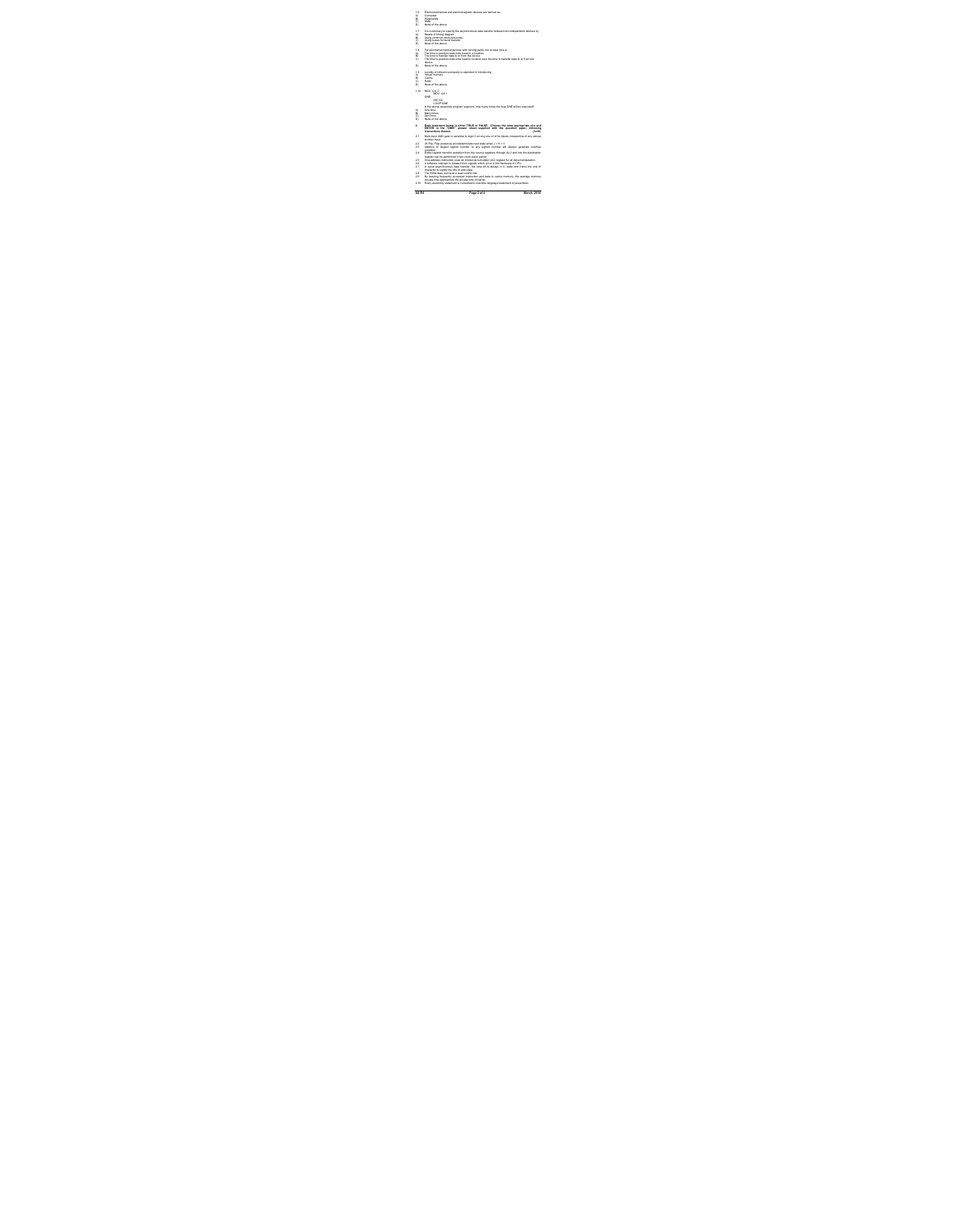A4-R4 Page 2 of 4 March, 2016 1.6 Electromechanical and electromagnetic devices are termed as A) Computer B) Peripherals C) DMA D) None of the above 1.7 It is customary to specify the asynchronous data transfer between two independent devices by A) Means of timing diagram B) Using common clock pulse rate C) Using buses for burst transfer D) None of the above 1.8 For electromechanical devices with moving parts, the access time is A) The time to position read-write head to a location B) The time to transfer data to or from the device. C) The time to position read-write head to location plus the time to transfer data to or from the device. D) None of the above 1.9 Locality of reference property is exploited in introducing A) Virtual memory B) Cache C) RAM D) None of the above 1.10 MOV CX, 0 MOV AX,1 ONE: INC AX LOOP ONE In the above assembly program segment, how many times the loop ONE will be executed? A) One time B) Many times C) Zero time D) None of the above 2. Each statement below is either TRUE or FALSE. Choose the most appropriate one and ENTER in the "OMR" answer sheet supplied with the question paper, following instructions therein. (1x10) 2.1 Multi-input AND gate is sensitive to logic 0 on any one of of its inputs, irrespective of any values at other input. 2.2 JK Flip- Flop produces an indeterminate next state when J = K = 1. 2.3 Addition of largest signed number to any signed number will always generate overflow condition. 2.4 Entire register transfer operation from the source registers through ALU and into the destination register can be performed in two clock pulse period. 2.5 One-address instruction uses an implied accumulator (AC) register for all data manipulation. 2.6 A software interrupt is initiated from signals which occur in the hardware of CPU. 2.7 In serial asynchronous data transfer, the stop bit is always in 0- state and frame the end of character to signify the idle or wait state. 2.8 The ROM does not need a read control line. 2.9 By keeping frequently accessed instruction and data in cache memory, the average memory access time approaches the access time of cache. 2.10 Every assembly statement is converted to machine language statement by assembler.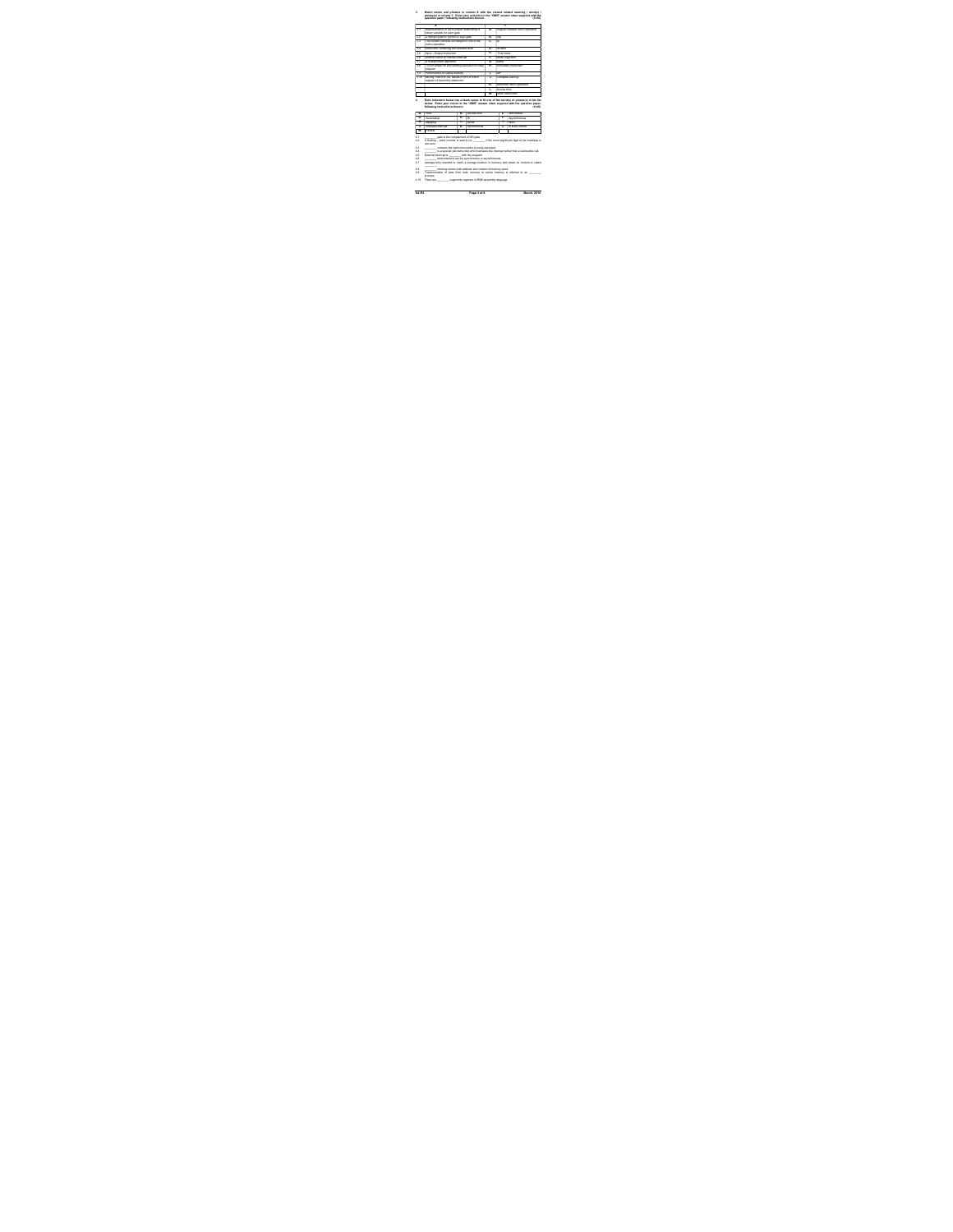

A4-R4 Page 3 of 4 March, 2016